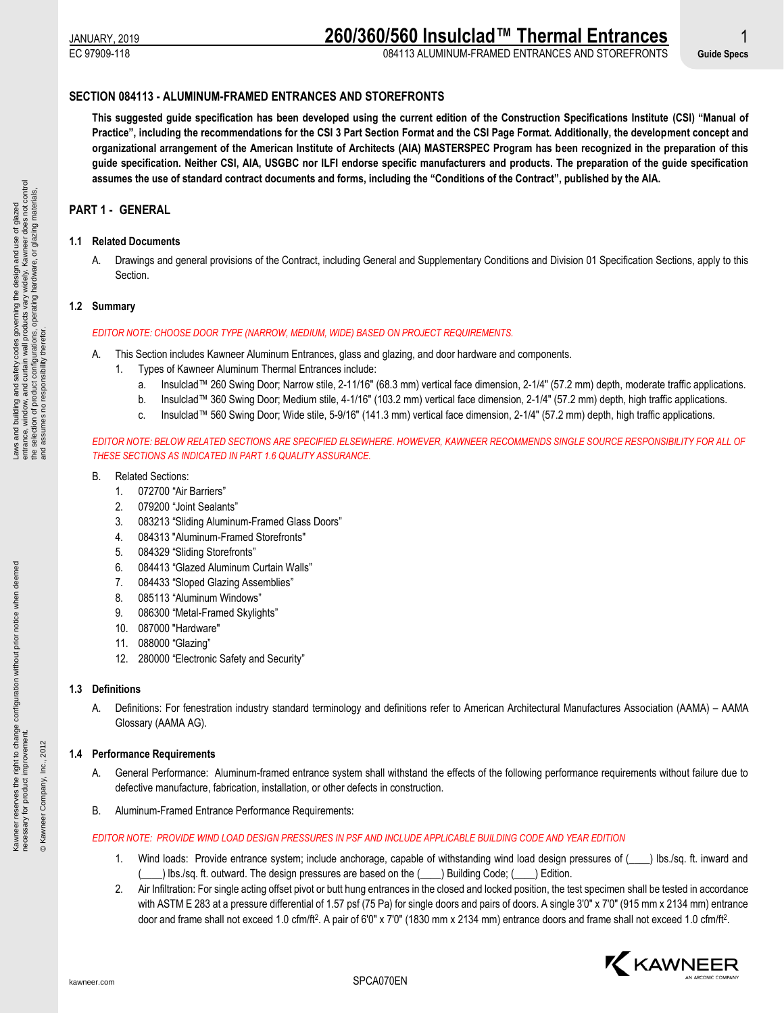# JANUARY, 2019 **260/360/560 Insulclad™ Thermal Entrances** 1

EC 97909-118 084113 ALUMINUM-FRAMED ENTRANCES AND STOREFRONTS **Guide Specs**

# **SECTION 084113 - ALUMINUM-FRAMED ENTRANCES AND STOREFRONTS**

**This suggested guide specification has been developed using the current edition of the Construction Specifications Institute (CSI) "Manual of Practice", including the recommendations for the CSI 3 Part Section Format and the CSI Page Format. Additionally, the development concept and organizational arrangement of the American Institute of Architects (AIA) MASTERSPEC Program has been recognized in the preparation of this guide specification. Neither CSI, AIA, USGBC nor ILFI endorse specific manufacturers and products. The preparation of the guide specification assumes the use of standard contract documents and forms, including the "Conditions of the Contract", published by the AIA.**

# **PART 1 - GENERAL**

## **1.1 Related Documents**

A. Drawings and general provisions of the Contract, including General and Supplementary Conditions and Division 01 Specification Sections, apply to this Section.

## **1.2 Summary**

## *EDITOR NOTE: CHOOSE DOOR TYPE (NARROW, MEDIUM, WIDE) BASED ON PROJECT REQUIREMENTS.*

- A. This Section includes Kawneer Aluminum Entrances, glass and glazing, and door hardware and components.
	- 1. Types of Kawneer Aluminum Thermal Entrances include:
		- a. Insulclad™ 260 Swing Door; Narrow stile, 2-11/16" (68.3 mm) vertical face dimension, 2-1/4" (57.2 mm) depth, moderate traffic applications.
		- b. Insulclad™ 360 Swing Door; Medium stile, 4-1/16" (103.2 mm) vertical face dimension, 2-1/4" (57.2 mm) depth, high traffic applications.
		- c. Insulclad™ 560 Swing Door; Wide stile, 5-9/16" (141.3 mm) vertical face dimension, 2-1/4" (57.2 mm) depth, high traffic applications.

*EDITOR NOTE: BELOW RELATED SECTIONS ARE SPECIFIED ELSEWHERE. HOWEVER, KAWNEER RECOMMENDS SINGLE SOURCE RESPONSIBILITY FOR ALL OF THESE SECTIONS AS INDICATED IN PART 1.6 QUALITY ASSURANCE.*

- B. Related Sections:
	- 1. 072700 "Air Barriers"
	- 2. 079200 "Joint Sealants"
	- 3. 083213 "Sliding Aluminum-Framed Glass Doors"
	- 4. 084313 "Aluminum-Framed Storefronts"
	- 5. 084329 "Sliding Storefronts"
	- 6. 084413 "Glazed Aluminum Curtain Walls"
	- 7. 084433 "Sloped Glazing Assemblies"
	- 8. 085113 "Aluminum Windows"
	- 9. 086300 "Metal-Framed Skylights"
	- 10. 087000 "Hardware"
	- 11. 088000 "Glazing"
	- 12. 280000 "Electronic Safety and Security"

## **1.3 Definitions**

A. Definitions: For fenestration industry standard terminology and definitions refer to American Architectural Manufactures Association (AAMA) – AAMA Glossary (AAMA AG).

## **1.4 Performance Requirements**

- A. General Performance: Aluminum-framed entrance system shall withstand the effects of the following performance requirements without failure due to defective manufacture, fabrication, installation, or other defects in construction.
- B. Aluminum-Framed Entrance Performance Requirements:

## *EDITOR NOTE: PROVIDE WIND LOAD DESIGN PRESSURES IN PSF AND INCLUDE APPLICABLE BUILDING CODE AND YEAR EDITION*

- 1. Wind loads: Provide entrance system; include anchorage, capable of withstanding wind load design pressures of (\_\_\_\_) lbs./sq. ft. inward and (bs./sq. ft. outward. The design pressures are based on the (e) Building Code; (e) Edition.
- 2. Air Infiltration: For single acting offset pivot or butt hung entrances in the closed and locked position, the test specimen shall be tested in accordance with ASTM E 283 at a pressure differential of 1.57 psf (75 Pa) for single doors and pairs of doors. A single 3'0" x 7'0" (915 mm x 2134 mm) entrance door and frame shall not exceed 1.0 cfm/ft<sup>2</sup>. A pair of 6'0" x 7'0" (1830 mm x 2134 mm) entrance doors and frame shall not exceed 1.0 cfm/ft<sup>2</sup>.



© Kawneer Company, Inc., 2012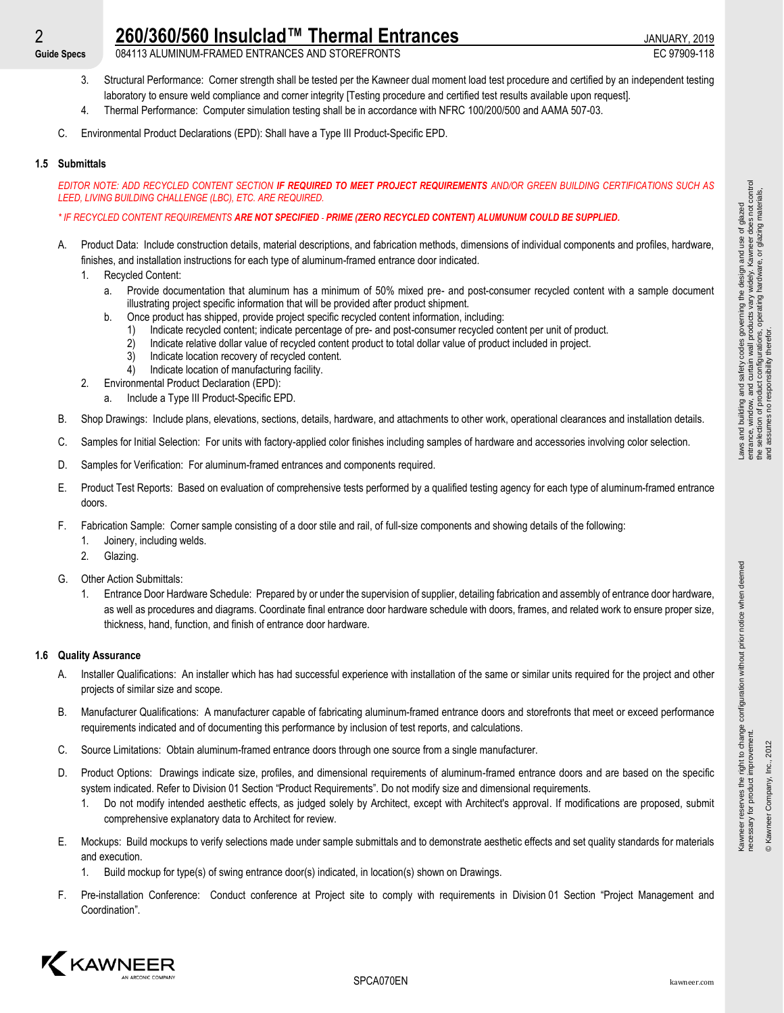# 2 **260/360/560 Insulclad™ Thermal Entrances** JANUARY, 2019

- 
- 3. Structural Performance: Corner strength shall be tested per the Kawneer dual moment load test procedure and certified by an independent testing laboratory to ensure weld compliance and corner integrity [Testing procedure and certified test results available upon request].
- 4. Thermal Performance: Computer simulation testing shall be in accordance with NFRC 100/200/500 and AAMA 507-03.
- C. Environmental Product Declarations (EPD): Shall have a Type III Product-Specific EPD.

# **1.5 Submittals**

*EDITOR NOTE: ADD RECYCLED CONTENT SECTION IF REQUIRED TO MEET PROJECT REQUIREMENTS AND/OR GREEN BUILDING CERTIFICATIONS SUCH AS LEED, LIVING BUILDING CHALLENGE (LBC), ETC. ARE REQUIRED.*

*\* IF RECYCLED CONTENT REQUIREMENTS ARE NOT SPECIFIED PRIME (ZERO RECYCLED CONTENT) ALUMUNUM COULD BE SUPPLIED.*

- A. Product Data: Include construction details, material descriptions, and fabrication methods, dimensions of individual components and profiles, hardware, finishes, and installation instructions for each type of aluminum-framed entrance door indicated.
	- 1. Recycled Content:
		- a. Provide documentation that aluminum has a minimum of 50% mixed pre- and post-consumer recycled content with a sample document illustrating project specific information that will be provided after product shipment.
		- b. Once product has shipped, provide project specific recycled content information, including:
			- 1) Indicate recycled content; indicate percentage of pre- and post-consumer recycled content per unit of product.
			- 2) Indicate relative dollar value of recycled content product to total dollar value of product included in project.
			- 3) Indicate location recovery of recycled content.
			- 4) Indicate location of manufacturing facility.
	- 2. Environmental Product Declaration (EPD):
		- a. Include a Type III Product-Specific EPD.
- B. Shop Drawings: Include plans, elevations, sections, details, hardware, and attachments to other work, operational clearances and installation details.
- C. Samples for Initial Selection: For units with factory-applied color finishes including samples of hardware and accessories involving color selection.
- D. Samples for Verification: For aluminum-framed entrances and components required.
- E. Product Test Reports: Based on evaluation of comprehensive tests performed by a qualified testing agency for each type of aluminum-framed entrance doors.
- F. Fabrication Sample: Corner sample consisting of a door stile and rail, of full-size components and showing details of the following:
	- 1. Joinery, including welds.
	- 2. Glazing.
- G. Other Action Submittals:
	- 1. Entrance Door Hardware Schedule: Prepared by or under the supervision of supplier, detailing fabrication and assembly of entrance door hardware, as well as procedures and diagrams. Coordinate final entrance door hardware schedule with doors, frames, and related work to ensure proper size, thickness, hand, function, and finish of entrance door hardware.

# **1.6 Quality Assurance**

- A. Installer Qualifications: An installer which has had successful experience with installation of the same or similar units required for the project and other projects of similar size and scope.
- B. Manufacturer Qualifications: A manufacturer capable of fabricating aluminum-framed entrance doors and storefronts that meet or exceed performance requirements indicated and of documenting this performance by inclusion of test reports, and calculations.
- C. Source Limitations: Obtain aluminum-framed entrance doors through one source from a single manufacturer.
- D. Product Options: Drawings indicate size, profiles, and dimensional requirements of aluminum-framed entrance doors and are based on the specific system indicated. Refer to Division 01 Section "Product Requirements". Do not modify size and dimensional requirements.
	- 1. Do not modify intended aesthetic effects, as judged solely by Architect, except with Architect's approval. If modifications are proposed, submit comprehensive explanatory data to Architect for review.
- E. Mockups: Build mockups to verify selections made under sample submittals and to demonstrate aesthetic effects and set quality standards for materials and execution.
	- 1. Build mockup for type(s) of swing entrance door(s) indicated, in location(s) shown on Drawings.
- F. Pre-installation Conference: Conduct conference at Project site to comply with requirements in Division 01 Section "Project Management and Coordination".



Kawneer reserves the right to change configuration without prior notice when deemed

reserves the right to change configuration without prior notice when deemed<br>ry for product improvement.

necessary for product improvement. © Kawneer Company, Inc., 2012

Kawneer re<br>necessary f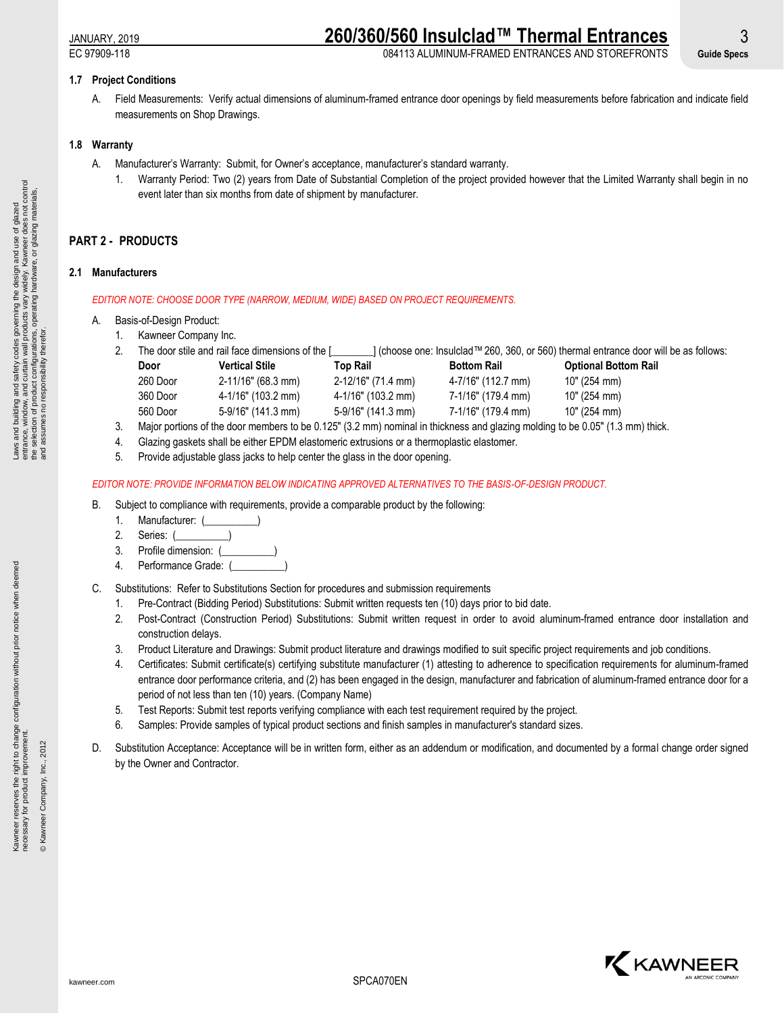# **1.7 Project Conditions**

A. Field Measurements: Verify actual dimensions of aluminum-framed entrance door openings by field measurements before fabrication and indicate field measurements on Shop Drawings.

# **1.8 Warranty**

- A. Manufacturer's Warranty: Submit, for Owner's acceptance, manufacturer's standard warranty.
	- 1. Warranty Period: Two (2) years from Date of Substantial Completion of the project provided however that the Limited Warranty shall begin in no event later than six months from date of shipment by manufacturer.

# **PART 2 - PRODUCTS**

## **2.1 Manufacturers**

*EDITIOR NOTE: CHOOSE DOOR TYPE (NARROW, MEDIUM, WIDE) BASED ON PROJECT REQUIREMENTS.*

# Basis-of-Design Product:

- 1. Kawneer Company Inc.
- 2. The door stile and rail face dimensions of the [\_\_\_\_\_\_\_\_] (choose one: Insulclad™ 260, 360, or 560) thermal entrance door will be as follows:

| Door     | <b>Vertical Stile</b> | <b>Top Rail</b>    | <b>Bottom Rail</b> | <b>Optional Bottom Rail</b> |
|----------|-----------------------|--------------------|--------------------|-----------------------------|
| 260 Door | 2-11/16" (68.3 mm)    | 2-12/16" (71.4 mm) | 4-7/16" (112.7 mm) | 10" (254 mm)                |
| 360 Door | 4-1/16" (103.2 mm)    | 4-1/16" (103.2 mm) | 7-1/16" (179.4 mm) | 10" (254 mm)                |
| 560 Door | 5-9/16" (141.3 mm)    | 5-9/16" (141.3 mm) | 7-1/16" (179.4 mm) | 10" (254 mm)                |
|          |                       |                    |                    |                             |

- 3. Major portions of the door members to be 0.125" (3.2 mm) nominal in thickness and glazing molding to be 0.05" (1.3 mm) thick.
- 4. Glazing gaskets shall be either EPDM elastomeric extrusions or a thermoplastic elastomer.
- 5. Provide adjustable glass jacks to help center the glass in the door opening.

*EDITOR NOTE: PROVIDE INFORMATION BELOW INDICATING APPROVED ALTERNATIVES TO THE BASIS-OF-DESIGN PRODUCT.*

- B. Subject to compliance with requirements, provide a comparable product by the following:
	- 1. Manufacturer: (
	- 2. Series: (
	- 3. Profile dimension: (
	- 4. Performance Grade: (
- C. Substitutions: Refer to Substitutions Section for procedures and submission requirements
	- 1. Pre-Contract (Bidding Period) Substitutions: Submit written requests ten (10) days prior to bid date.
	- 2. Post-Contract (Construction Period) Substitutions: Submit written request in order to avoid aluminum-framed entrance door installation and construction delays.
	- 3. Product Literature and Drawings: Submit product literature and drawings modified to suit specific project requirements and job conditions.
	- 4. Certificates: Submit certificate(s) certifying substitute manufacturer (1) attesting to adherence to specification requirements for aluminum-framed entrance door performance criteria, and (2) has been engaged in the design, manufacturer and fabrication of aluminum-framed entrance door for a period of not less than ten (10) years. (Company Name)
	- 5. Test Reports: Submit test reports verifying compliance with each test requirement required by the project.
	- 6. Samples: Provide samples of typical product sections and finish samples in manufacturer's standard sizes.
- D. Substitution Acceptance: Acceptance will be in written form, either as an addendum or modification, and documented by a formal change order signed by the Owner and Contractor.



© Kawneer Company, Inc., 2012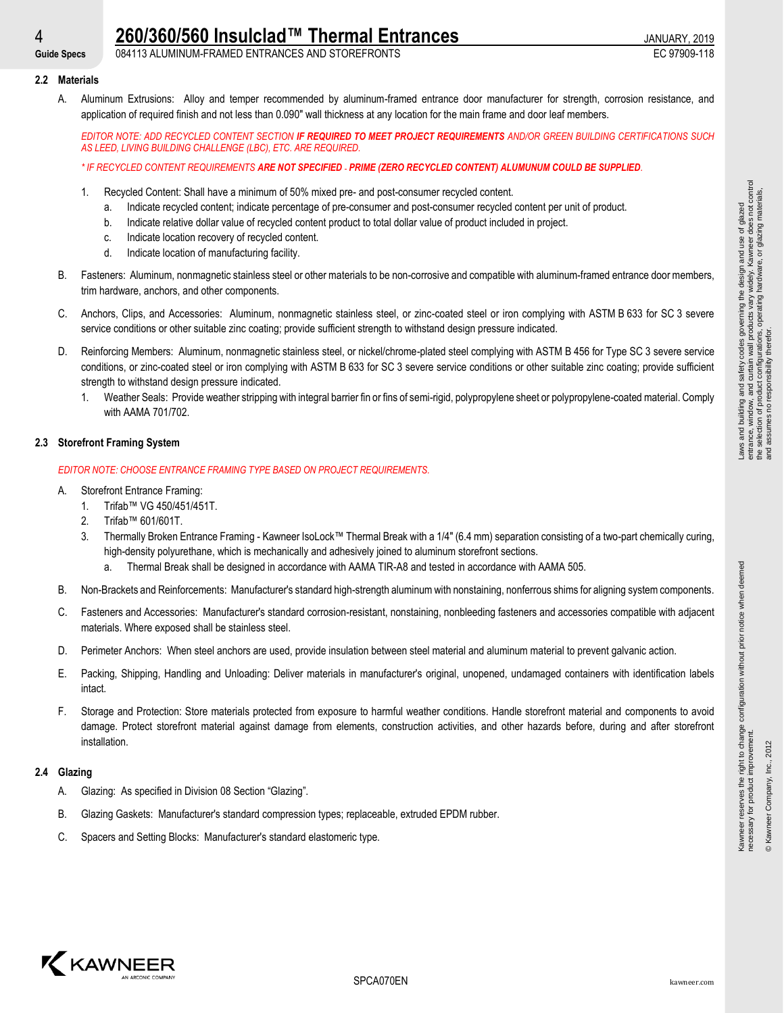## **2.2 Materials**

A. Aluminum Extrusions: Alloy and temper recommended by aluminum-framed entrance door manufacturer for strength, corrosion resistance, and application of required finish and not less than 0.090" wall thickness at any location for the main frame and door leaf members.

*EDITOR NOTE: ADD RECYCLED CONTENT SECTION IF REQUIRED TO MEET PROJECT REQUIREMENTS AND/OR GREEN BUILDING CERTIFICATIONS SUCH AS LEED, LIVING BUILDING CHALLENGE (LBC), ETC. ARE REQUIRED.*

*\* IF RECYCLED CONTENT REQUIREMENTS ARE NOT SPECIFIED PRIME (ZERO RECYCLED CONTENT) ALUMUNUM COULD BE SUPPLIED.*

- 1. Recycled Content: Shall have a minimum of 50% mixed pre- and post-consumer recycled content.
	- a. Indicate recycled content; indicate percentage of pre-consumer and post-consumer recycled content per unit of product.
	- b. Indicate relative dollar value of recycled content product to total dollar value of product included in project.
	- c. Indicate location recovery of recycled content.
	- d. Indicate location of manufacturing facility.
- B. Fasteners: Aluminum, nonmagnetic stainless steel or other materials to be non-corrosive and compatible with aluminum-framed entrance door members, trim hardware, anchors, and other components.
- C. Anchors, Clips, and Accessories: Aluminum, nonmagnetic stainless steel, or zinc-coated steel or iron complying with ASTM B 633 for SC 3 severe service conditions or other suitable zinc coating; provide sufficient strength to withstand design pressure indicated.
- D. Reinforcing Members: Aluminum, nonmagnetic stainless steel, or nickel/chrome-plated steel complying with ASTM B 456 for Type SC 3 severe service conditions, or zinc-coated steel or iron complying with ASTM B 633 for SC 3 severe service conditions or other suitable zinc coating; provide sufficient strength to withstand design pressure indicated.
	- 1. Weather Seals: Provide weather stripping with integral barrier fin or fins of semi-rigid, polypropylene sheet or polypropylene-coated material. Comply with AAMA 701/702.

# **2.3 Storefront Framing System**

# *EDITOR NOTE: CHOOSE ENTRANCE FRAMING TYPE BASED ON PROJECT REQUIREMENTS.*

- A. Storefront Entrance Framing:
	- 1. Trifab™ VG 450/451/451T.
	- 2. Trifab™ 601/601T.
	- 3. Thermally Broken Entrance Framing Kawneer IsoLock™ Thermal Break with a 1/4" (6.4 mm) separation consisting of a two-part chemically curing, high-density polyurethane, which is mechanically and adhesively joined to aluminum storefront sections.
		- a. Thermal Break shall be designed in accordance with AAMA TIR-A8 and tested in accordance with AAMA 505.
- B. Non-Brackets and Reinforcements: Manufacturer's standard high-strength aluminum with nonstaining, nonferrous shims for aligning system components.
- C. Fasteners and Accessories: Manufacturer's standard corrosion-resistant, nonstaining, nonbleeding fasteners and accessories compatible with adjacent materials. Where exposed shall be stainless steel.
- D. Perimeter Anchors: When steel anchors are used, provide insulation between steel material and aluminum material to prevent galvanic action.
- E. Packing, Shipping, Handling and Unloading: Deliver materials in manufacturer's original, unopened, undamaged containers with identification labels intact.
- F. Storage and Protection: Store materials protected from exposure to harmful weather conditions. Handle storefront material and components to avoid damage. Protect storefront material against damage from elements, construction activities, and other hazards before, during and after storefront installation.

## **2.4 Glazing**

- A. Glazing: As specified in Division 08 Section "Glazing".
- B. Glazing Gaskets: Manufacturer's standard compression types; replaceable, extruded EPDM rubber.
- C. Spacers and Setting Blocks: Manufacturer's standard elastomeric type.

Laws and building and safety codes governing the design and use of glazed entrance, window, and curtain wall products vary widely. Kawneer does not control the selection of product configurations, operating hardware, or glazing materials,

Laws and building and safety codes governing the design and use of glazed<br>entrance, window, and curtain wall products vary widely. Kawneer does not control<br>and assumes no responsibility therefor, operating hardware, or gla

and assumes no responsibility therefor.

Kawneer reserves the right to change configuration without prior notice when deemed

Kawneer res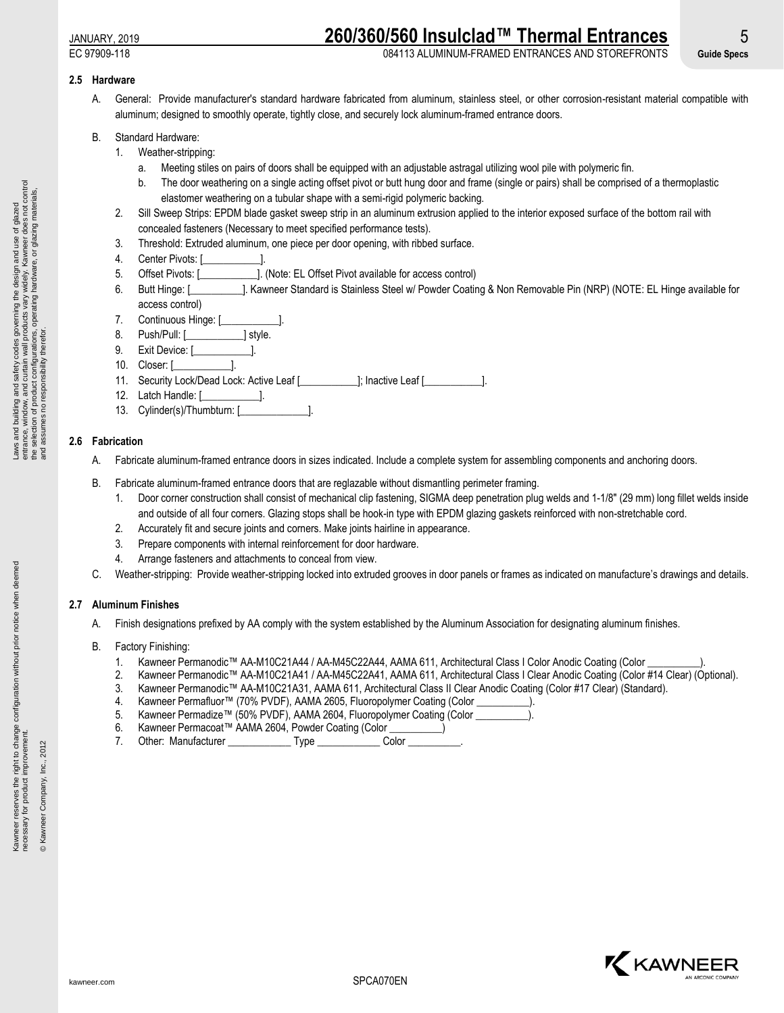KKAWNEER

# **2.5 Hardware**

- A. General: Provide manufacturer's standard hardware fabricated from aluminum, stainless steel, or other corrosion-resistant material compatible with aluminum; designed to smoothly operate, tightly close, and securely lock aluminum-framed entrance doors.
- B. Standard Hardware:
	- 1. Weather-stripping:
		- a. Meeting stiles on pairs of doors shall be equipped with an adjustable astragal utilizing wool pile with polymeric fin.
		- b. The door weathering on a single acting offset pivot or butt hung door and frame (single or pairs) shall be comprised of a thermoplastic elastomer weathering on a tubular shape with a semi-rigid polymeric backing.
	- 2. Sill Sweep Strips: EPDM blade gasket sweep strip in an aluminum extrusion applied to the interior exposed surface of the bottom rail with concealed fasteners (Necessary to meet specified performance tests).
	- 3. Threshold: Extruded aluminum, one piece per door opening, with ribbed surface.
	- 4. Center Pivots: [\_\_\_\_\_\_\_\_\_\_\_].
	- 5. Offset Pivots: [\_\_\_\_\_\_\_\_\_\_\_]. (Note: EL Offset Pivot available for access control)
	- 6. Butt Hinge: [\_\_\_\_\_\_\_\_\_\_]. Kawneer Standard is Stainless Steel w/ Powder Coating & Non Removable Pin (NRP) (NOTE: EL Hinge available for access control)
	- 7. Continuous Hinge: [
	- 8. Push/Pull: [\_\_\_\_\_\_\_\_\_\_\_\_] style.
	- 9. Exit Device: [\_\_\_\_\_\_\_\_\_\_\_].
	- 10. Closer: [
	- 11. Security Lock/Dead Lock: Active Leaf [\_\_\_\_\_\_\_\_\_\_\_\_]; Inactive Leaf [\_\_\_\_\_\_\_\_\_
	- 12. Latch Handle: [\_\_\_\_\_\_\_\_\_\_\_].
	- 13. Cylinder(s)/Thumbturn: [

# **2.6 Fabrication**

- A. Fabricate aluminum-framed entrance doors in sizes indicated. Include a complete system for assembling components and anchoring doors.
- B. Fabricate aluminum-framed entrance doors that are reglazable without dismantling perimeter framing.
	- 1. Door corner construction shall consist of mechanical clip fastening, SIGMA deep penetration plug welds and 1-1/8" (29 mm) long fillet welds inside and outside of all four corners. Glazing stops shall be hook-in type with EPDM glazing gaskets reinforced with non-stretchable cord.
	- 2. Accurately fit and secure joints and corners. Make joints hairline in appearance.
	- 3. Prepare components with internal reinforcement for door hardware.
	- 4. Arrange fasteners and attachments to conceal from view.
- C. Weather-stripping: Provide weather-stripping locked into extruded grooves in door panels or frames as indicated on manufacture's drawings and details.

# **2.7 Aluminum Finishes**

- A. Finish designations prefixed by AA comply with the system established by the Aluminum Association for designating aluminum finishes.
- B. Factory Finishing:
	- 1. Kawneer Permanodic™ AA-M10C21A44 / AA-M45C22A44, AAMA 611, Architectural Class I Color Anodic Coating (Color
	- 2. Kawneer Permanodic™ AA-M10C21A41 / AA-M45C22A41, AAMA 611, Architectural Class I Clear Anodic Coating (Color #14 Clear) (Optional).
	- 3. Kawneer Permanodic™ AA-M10C21A31, AAMA 611, Architectural Class II Clear Anodic Coating (Color #17 Clear) (Standard).
	- 4. Kawneer Permafluor™ (70% PVDF), AAMA 2605, Fluoropolymer Coating (Color \_\_\_\_\_\_
	- 5. Kawneer Permadize™ (50% PVDF), AAMA 2604, Fluoropolymer Coating (Color \_
	- 6. Kawneer Permacoat™ AAMA 2604, Powder Coating (Color \_\_\_\_\_\_\_\_\_\_)
	- 7. Other: Manufacturer \_\_\_\_\_\_\_\_\_\_\_\_ Type \_\_\_\_\_\_\_\_\_\_\_\_ Color \_\_\_\_\_\_\_\_\_\_.



© Kawneer Company, Inc., 2012